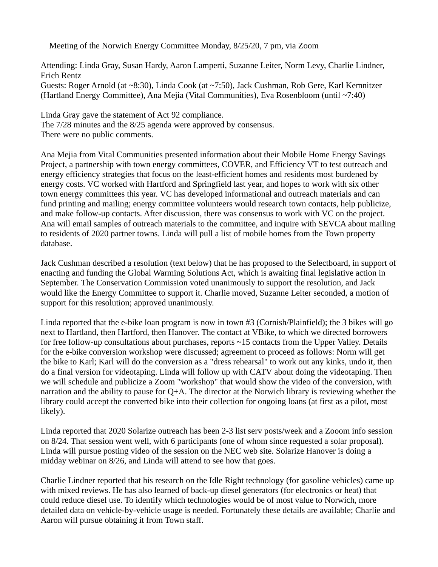Meeting of the Norwich Energy Committee Monday, 8/25/20, 7 pm, via Zoom

Attending: Linda Gray, Susan Hardy, Aaron Lamperti, Suzanne Leiter, Norm Levy, Charlie Lindner, Erich Rentz Guests: Roger Arnold (at ~8:30), Linda Cook (at ~7:50), Jack Cushman, Rob Gere, Karl Kemnitzer (Hartland Energy Committee), Ana Mejia (Vital Communities), Eva Rosenbloom (until ~7:40)

Linda Gray gave the statement of Act 92 compliance. The 7/28 minutes and the 8/25 agenda were approved by consensus. There were no public comments.

Ana Mejia from Vital Communities presented information about their Mobile Home Energy Savings Project, a partnership with town energy committees, COVER, and Efficiency VT to test outreach and energy efficiency strategies that focus on the least-efficient homes and residents most burdened by energy costs. VC worked with Hartford and Springfield last year, and hopes to work with six other town energy committees this year. VC has developed informational and outreach materials and can fund printing and mailing; energy committee volunteers would research town contacts, help publicize, and make follow-up contacts. After discussion, there was consensus to work with VC on the project. Ana will email samples of outreach materials to the committee, and inquire with SEVCA about mailing to residents of 2020 partner towns. Linda will pull a list of mobile homes from the Town property database.

Jack Cushman described a resolution (text below) that he has proposed to the Selectboard, in support of enacting and funding the Global Warming Solutions Act, which is awaiting final legislative action in September. The Conservation Commission voted unanimously to support the resolution, and Jack would like the Energy Committee to support it. Charlie moved, Suzanne Leiter seconded, a motion of support for this resolution; approved unanimously.

Linda reported that the e-bike loan program is now in town #3 (Cornish/Plainfield); the 3 bikes will go next to Hartland, then Hartford, then Hanover. The contact at VBike, to which we directed borrowers for free follow-up consultations about purchases, reports ~15 contacts from the Upper Valley. Details for the e-bike conversion workshop were discussed; agreement to proceed as follows: Norm will get the bike to Karl; Karl will do the conversion as a "dress rehearsal" to work out any kinks, undo it, then do a final version for videotaping. Linda will follow up with CATV about doing the videotaping. Then we will schedule and publicize a Zoom "workshop" that would show the video of the conversion, with narration and the ability to pause for  $Q+A$ . The director at the Norwich library is reviewing whether the library could accept the converted bike into their collection for ongoing loans (at first as a pilot, most likely).

Linda reported that 2020 Solarize outreach has been 2-3 list serv posts/week and a Zooom info session on 8/24. That session went well, with 6 participants (one of whom since requested a solar proposal). Linda will pursue posting video of the session on the NEC web site. Solarize Hanover is doing a midday webinar on 8/26, and Linda will attend to see how that goes.

Charlie Lindner reported that his research on the Idle Right technology (for gasoline vehicles) came up with mixed reviews. He has also learned of back-up diesel generators (for electronics or heat) that could reduce diesel use. To identify which technologies would be of most value to Norwich, more detailed data on vehicle-by-vehicle usage is needed. Fortunately these details are available; Charlie and Aaron will pursue obtaining it from Town staff.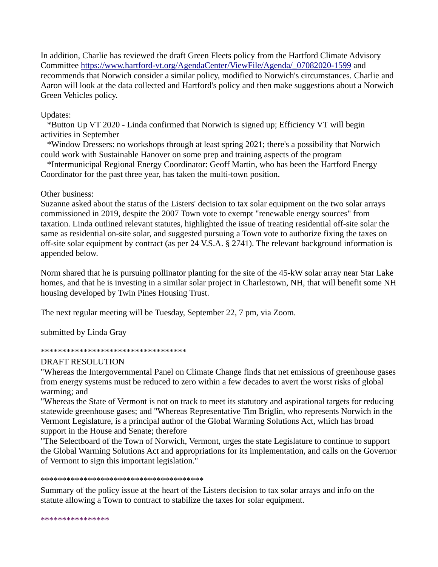In addition, Charlie has reviewed the draft Green Fleets policy from the Hartford Climate Advisory Committee [https://www.hartford-vt.org/AgendaCenter/ViewFile/Agenda/\\_07082020-1599](https://www.hartford-vt.org/AgendaCenter/ViewFile/Agenda/_07082020-1599) and recommends that Norwich consider a similar policy, modified to Norwich's circumstances. Charlie and Aaron will look at the data collected and Hartford's policy and then make suggestions about a Norwich Green Vehicles policy.

# Updates:

 \*Button Up VT 2020 - Linda confirmed that Norwich is signed up; Efficiency VT will begin activities in September

 \*Window Dressers: no workshops through at least spring 2021; there's a possibility that Norwich could work with Sustainable Hanover on some prep and training aspects of the program

 \*Intermunicipal Regional Energy Coordinator: Geoff Martin, who has been the Hartford Energy Coordinator for the past three year, has taken the multi-town position.

## Other business:

Suzanne asked about the status of the Listers' decision to tax solar equipment on the two solar arrays commissioned in 2019, despite the 2007 Town vote to exempt "renewable energy sources" from taxation. Linda outlined relevant statutes, highlighted the issue of treating residential off-site solar the same as residential on-site solar, and suggested pursuing a Town vote to authorize fixing the taxes on off-site solar equipment by contract (as per 24 V.S.A. § 2741). The relevant background information is appended below.

Norm shared that he is pursuing pollinator planting for the site of the 45-kW solar array near Star Lake homes, and that he is investing in a similar solar project in Charlestown, NH, that will benefit some NH housing developed by Twin Pines Housing Trust.

The next regular meeting will be Tuesday, September 22, 7 pm, via Zoom.

submitted by Linda Gray

### \*\*\*\*\*\*\*\*\*\*\*\*\*\*\*\*\*\*\*\*\*\*\*\*\*\*\*\*\*\*\*\*\*\*

## DRAFT RESOLUTION

"Whereas the Intergovernmental Panel on Climate Change finds that net emissions of greenhouse gases from energy systems must be reduced to zero within a few decades to avert the worst risks of global warming; and

"Whereas the State of Vermont is not on track to meet its statutory and aspirational targets for reducing statewide greenhouse gases; and "Whereas Representative Tim Briglin, who represents Norwich in the Vermont Legislature, is a principal author of the Global Warming Solutions Act, which has broad support in the House and Senate; therefore

"The Selectboard of the Town of Norwich, Vermont, urges the state Legislature to continue to support the Global Warming Solutions Act and appropriations for its implementation, and calls on the Governor of Vermont to sign this important legislation."

#### \*\*\*\*\*\*\*\*\*\*\*\*\*\*\*\*\*\*\*\*\*\*\*\*\*\*\*\*\*\*\*\*\*\*\*\*\*\*

Summary of the policy issue at the heart of the Listers decision to tax solar arrays and info on the statute allowing a Town to contract to stabilize the taxes for solar equipment.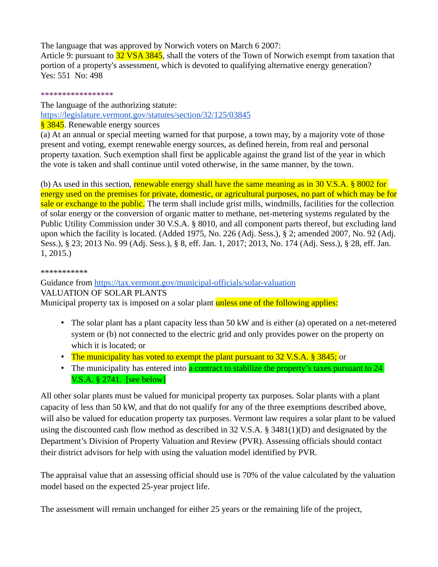The language that was approved by Norwich voters on March 6 2007:

Article 9: pursuant to 32 VSA 3845, shall the voters of the Town of Norwich exempt from taxation that portion of a property's assessment, which is devoted to qualifying alternative energy generation? Yes: 551 No: 498

\*\*\*\*\*\*\*\*\*\*\*\*\*\*\*\*\*

The language of the authorizing statute: <https://legislature.vermont.gov/statutes/section/32/125/03845>

§ 3845. Renewable energy sources

(a) At an annual or special meeting warned for that purpose, a town may, by a majority vote of those present and voting, exempt renewable energy sources, as defined herein, from real and personal property taxation. Such exemption shall first be applicable against the grand list of the year in which the vote is taken and shall continue until voted otherwise, in the same manner, by the town.

(b) As used in this section, renewable energy shall have the same meaning as in 30 V.S.A. § 8002 for energy used on the premises for private, domestic, or agricultural purposes, no part of which may be for sale or exchange to the public. The term shall include grist mills, windmills, facilities for the collection of solar energy or the conversion of organic matter to methane, net-metering systems regulated by the Public Utility Commission under 30 V.S.A. § 8010, and all component parts thereof, but excluding land upon which the facility is located. (Added 1975, No. 226 (Adj. Sess.), § 2; amended 2007, No. 92 (Adj. Sess.), § 23; 2013 No. 99 (Adj. Sess.), § 8, eff. Jan. 1, 2017; 2013, No. 174 (Adj. Sess.), § 28, eff. Jan. 1, 2015.)

\*\*\*\*\*\*\*\*\*\*\*

Guidance from<https://tax.vermont.gov/municipal-officials/solar-valuation> VALUATION OF SOLAR PLANTS Municipal property tax is imposed on a solar plant unless one of the following applies:

- The solar plant has a plant capacity less than 50 kW and is either (a) operated on a net-metered system or (b) not connected to the electric grid and only provides power on the property on which it is located; or
- The municipality has voted to exempt the plant pursuant to 32 V.S.A. § 3845; or
- The municipality has entered into a contract to stabilize the property's taxes pursuant to 24 V.S.A. § 2741. [see below]

All other solar plants must be valued for municipal property tax purposes. Solar plants with a plant capacity of less than 50 kW, and that do not qualify for any of the three exemptions described above, will also be valued for education property tax purposes. Vermont law requires a solar plant to be valued using the discounted cash flow method as described in 32 V.S.A. § 3481(1)(D) and designated by the Department's Division of Property Valuation and Review (PVR). Assessing officials should contact their district advisors for help with using the valuation model identified by PVR.

The appraisal value that an assessing official should use is 70% of the value calculated by the valuation model based on the expected 25-year project life.

The assessment will remain unchanged for either 25 years or the remaining life of the project,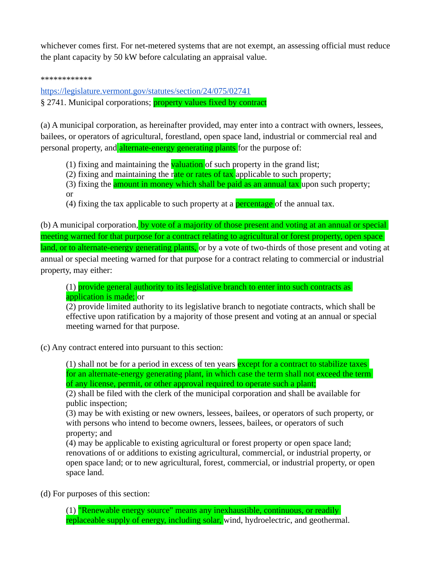whichever comes first. For net-metered systems that are not exempt, an assessing official must reduce the plant capacity by 50 kW before calculating an appraisal value.

\*\*\*\*\*\*\*\*\*\*\*\*

<https://legislature.vermont.gov/statutes/section/24/075/02741> § 2741. Municipal corporations; **property values fixed by contract** 

(a) A municipal corporation, as hereinafter provided, may enter into a contract with owners, lessees, bailees, or operators of agricultural, forestland, open space land, industrial or commercial real and personal property, and alternate-energy generating plants for the purpose of:

- (1) fixing and maintaining the **valuation** of such property in the grand list;
- (2) fixing and maintaining the rate or rates of tax applicable to such property;
- (3) fixing the **amount in money which shall be paid as an annual tax** upon such property; or
- (4) fixing the tax applicable to such property at a **percentage** of the annual tax.

(b) A municipal corporation, by vote of a majority of those present and voting at an annual or special meeting warned for that purpose for a contract relating to agricultural or forest property, open space land, or to alternate-energy generating plants, or by a vote of two-thirds of those present and voting at annual or special meeting warned for that purpose for a contract relating to commercial or industrial property, may either:

(1) provide general authority to its legislative branch to enter into such contracts as application is made; or

(2) provide limited authority to its legislative branch to negotiate contracts, which shall be effective upon ratification by a majority of those present and voting at an annual or special meeting warned for that purpose.

(c) Any contract entered into pursuant to this section:

(1) shall not be for a period in excess of ten years **except for a contract to stabilize taxes** for an alternate-energy generating plant, in which case the term shall not exceed the term of any license, permit, or other approval required to operate such a plant;

(2) shall be filed with the clerk of the municipal corporation and shall be available for public inspection;

(3) may be with existing or new owners, lessees, bailees, or operators of such property, or with persons who intend to become owners, lessees, bailees, or operators of such property; and

(4) may be applicable to existing agricultural or forest property or open space land; renovations of or additions to existing agricultural, commercial, or industrial property, or open space land; or to new agricultural, forest, commercial, or industrial property, or open space land.

(d) For purposes of this section:

(1) "Renewable energy source" means any inexhaustible, continuous, or readily replaceable supply of energy, including solar, wind, hydroelectric, and geothermal.